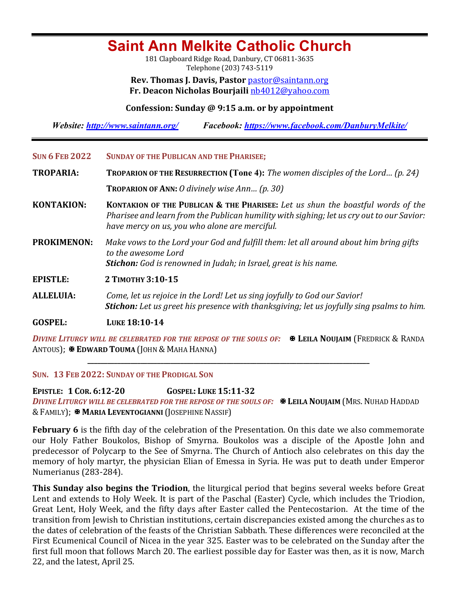# **Saint Ann Melkite Catholic Church**

181 Clapboard Ridge Road, Danbury, CT 06811-3635 Telephone (203) 743-5119

**Rev. Thomas J. Davis, Pastor** pastor@saintann.org **Fr. Deacon Nicholas Bourjaili** nb4012@yahoo.com

### **Confession: Sunday @ 9:15 a.m. or by appointment**

*Website: http://www.saintann.org/ Facebook: https://www.facebook.com/DanburyMelkite/* 

- SUN 6 FEB 2022 SUNDAY OF THE PUBLICAN AND THE PHARISEE;
- **TROPARIA: TROPARION OF THE RESURRECTION (Tone 4):** *The women disciples of the Lord... (p. 24)* **TROPARION OF ANN:** *O* divinely wise Ann... (p. 30)
- **KONTAKION: KONTAKION OF THE PUBLICAN & THE PHARISEE:** Let us shun the boastful words of the *Pharisee and learn from the Publican humility with sighing; let us cry out to our Savior:* have mercy on *us, you who alone are merciful.*
- **PROKIMENON:** Make vows to the Lord your God and fulfill them: let all around about him bring gifts *to the awesome Lord Stichon:* God is renowned in Judah; in Israel, great is his name.
- **EPISTLE: <sup>2</sup> TIMOTHY 3:10-15**
- **ALLELUIA:** Come, let us rejoice in the Lord! Let us sing joyfully to God our Savior! **Stichon:** Let us greet his presence with thanksgiving; let us joyfully sing psalms to him.

**GOSPEL: LUKE 18:10-14** 

*DIVINE LITURGY WILL BE CELEBRATED FOR THE REPOSE OF THE SOULS OF:* $\mathbb{R}$  **Leila Noujaim (Fredrick & Randa** ANTOUS); **E EDWARD TOUMA** (JOHN & MAHA HANNA)

**\_\_\_\_\_\_\_\_\_\_\_\_\_\_\_\_\_\_\_\_\_\_\_\_\_\_\_\_\_\_\_\_\_\_\_\_\_\_\_\_\_\_\_\_\_\_\_\_\_\_\_\_\_\_\_\_\_\_\_\_\_\_\_\_\_\_\_\_\_\_\_\_\_\_\_\_\_\_\_\_\_\_\_\_\_**

SUN. 13 FEB 2022: SUNDAY OF THE PRODIGAL SON

**EPISTLE: 1 COR. 6:12-20 GOSPEL: LUKE 15:11-32** *DIVINE LITURGY WILL BE CELEBRATED FOR THE REPOSE OF THE SOULS OF:* $\mathbf{\mathbf{\mathbf{\mathbf{\mathbf{X}}}}}$  **LEILA NOUJAIM (MRS. NUHAD HADDAD** & FAMILY); **\* MARIA LEVENTOGIANNI** (JOSEPHINE NASSIF)

**February 6** is the fifth day of the celebration of the Presentation. On this date we also commemorate our Holy Father Boukolos, Bishop of Smyrna. Boukolos was a disciple of the Apostle John and predecessor of Polycarp to the See of Smyrna. The Church of Antioch also celebrates on this day the memory of holy martyr, the physician Elian of Emessa in Syria. He was put to death under Emperor Numerianus (283-284).

**This Sunday also begins the Triodion**, the liturgical period that begins several weeks before Great Lent and extends to Holy Week. It is part of the Paschal (Easter) Cycle, which includes the Triodion, Great Lent, Holy Week, and the fifty days after Easter called the Pentecostarion. At the time of the transition from Jewish to Christian institutions, certain discrepancies existed among the churches as to the dates of celebration of the feasts of the Christian Sabbath. These differences were reconciled at the First Ecumenical Council of Nicea in the year 325. Easter was to be celebrated on the Sunday after the first full moon that follows March 20. The earliest possible day for Easter was then, as it is now, March 22, and the latest, April 25.